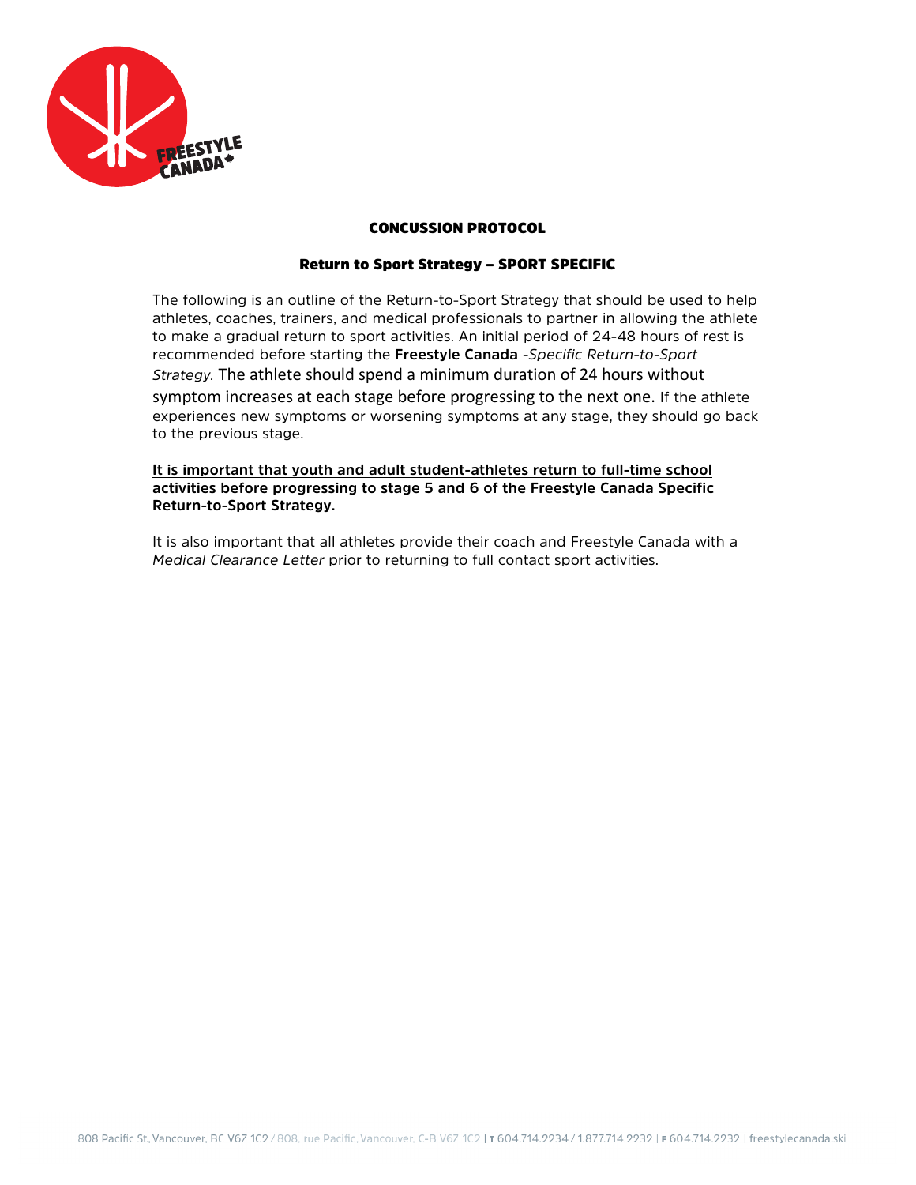

## CONCUSSION PROTOCOL

## Return to Sport Strategy – SPORT SPECIFIC

The following is an outline of the Return-to-Sport Strategy that should be used to help athletes, coaches, trainers, and medical professionals to partner in allowing the athlete to make a gradual return to sport activities. An initial period of 24-48 hours of rest is recommended before starting the **Freestyle Canada** *-Specific Return-to-Sport Strategy.* The athlete should spend a minimum duration of 24 hours without symptom increases at each stage before progressing to the next one. If the athlete experiences new symptoms or worsening symptoms at any stage, they should go back to the previous stage.

**It is important that youth and adult student-athletes return to full-time school activities before progressing to stage 5 and 6 of the Freestyle Canada Specific Return-to-Sport Strategy.** 

It is also important that all athletes provide their coach and Freestyle Canada with a *Medical Clearance Letter* prior to returning to full contact sport activities.